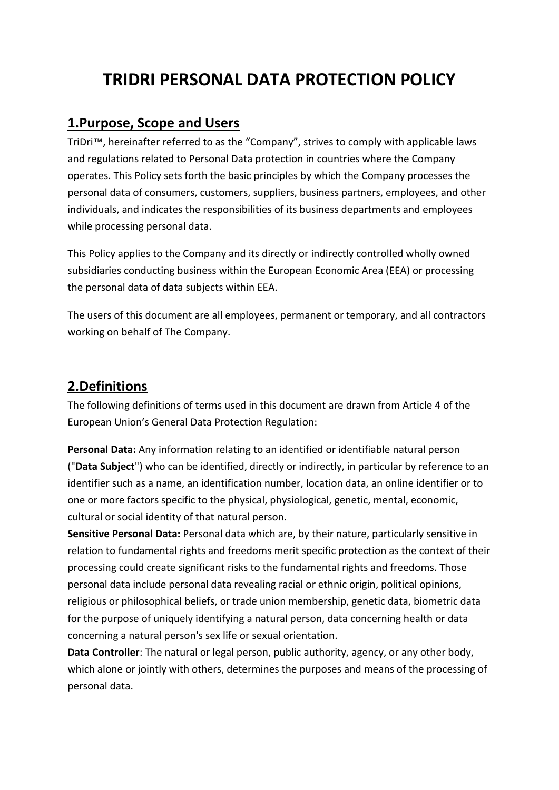# **TRIDRI PERSONAL DATA PROTECTION POLICY**

### **1.Purpose, Scope and Users**

TriDri™, hereinafter referred to as the "Company", strives to comply with applicable laws and regulations related to Personal Data protection in countries where the Company operates. This Policy sets forth the basic principles by which the Company processes the personal data of consumers, customers, suppliers, business partners, employees, and other individuals, and indicates the responsibilities of its business departments and employees while processing personal data.

This Policy applies to the Company and its directly or indirectly controlled wholly owned subsidiaries conducting business within the European Economic Area (EEA) or processing the personal data of data subjects within EEA.

The users of this document are all employees, permanent or temporary, and all contractors working on behalf of The Company.

### **2.Definitions**

The following definitions of terms used in this document are drawn from Article 4 of the European Union's General Data Protection Regulation:

**Personal Data:** Any information relating to an identified or identifiable natural person ("**Data Subject**") who can be identified, directly or indirectly, in particular by reference to an identifier such as a name, an identification number, location data, an online identifier or to one or more factors specific to the physical, physiological, genetic, mental, economic, cultural or social identity of that natural person.

**Sensitive Personal Data:** Personal data which are, by their nature, particularly sensitive in relation to fundamental rights and freedoms merit specific protection as the context of their processing could create significant risks to the fundamental rights and freedoms. Those personal data include personal data revealing racial or ethnic origin, political opinions, religious or philosophical beliefs, or trade union membership, genetic data, biometric data for the purpose of uniquely identifying a natural person, data concerning health or data concerning a natural person's sex life or sexual orientation.

**Data Controller**: The natural or legal person, public authority, agency, or any other body, which alone or jointly with others, determines the purposes and means of the processing of personal data.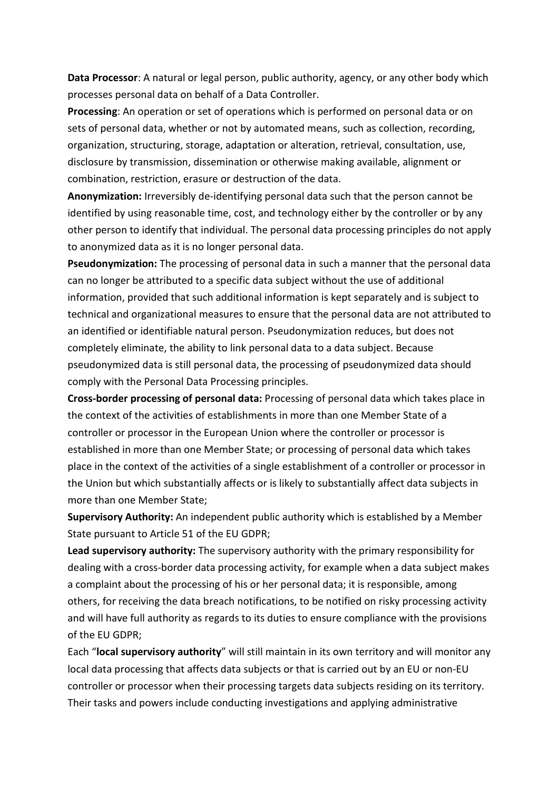**Data Processor**: A natural or legal person, public authority, agency, or any other body which processes personal data on behalf of a Data Controller.

**Processing**: An operation or set of operations which is performed on personal data or on sets of personal data, whether or not by automated means, such as collection, recording, organization, structuring, storage, adaptation or alteration, retrieval, consultation, use, disclosure by transmission, dissemination or otherwise making available, alignment or combination, restriction, erasure or destruction of the data.

**Anonymization:** Irreversibly de-identifying personal data such that the person cannot be identified by using reasonable time, cost, and technology either by the controller or by any other person to identify that individual. The personal data processing principles do not apply to anonymized data as it is no longer personal data.

**Pseudonymization:** The processing of personal data in such a manner that the personal data can no longer be attributed to a specific data subject without the use of additional information, provided that such additional information is kept separately and is subject to technical and organizational measures to ensure that the personal data are not attributed to an identified or identifiable natural person. Pseudonymization reduces, but does not completely eliminate, the ability to link personal data to a data subject. Because pseudonymized data is still personal data, the processing of pseudonymized data should comply with the Personal Data Processing principles.

**Cross-border processing of personal data:** Processing of personal data which takes place in the context of the activities of establishments in more than one Member State of a controller or processor in the European Union where the controller or processor is established in more than one Member State; or processing of personal data which takes place in the context of the activities of a single establishment of a controller or processor in the Union but which substantially affects or is likely to substantially affect data subjects in more than one Member State;

**Supervisory Authority:** An independent public authority which is established by a Member State pursuant to Article 51 of the EU GDPR;

**Lead supervisory authority:** The supervisory authority with the primary responsibility for dealing with a cross-border data processing activity, for example when a data subject makes a complaint about the processing of his or her personal data; it is responsible, among others, for receiving the data breach notifications, to be notified on risky processing activity and will have full authority as regards to its duties to ensure compliance with the provisions of the EU GDPR;

Each "**local supervisory authority**" will still maintain in its own territory and will monitor any local data processing that affects data subjects or that is carried out by an EU or non-EU controller or processor when their processing targets data subjects residing on its territory. Their tasks and powers include conducting investigations and applying administrative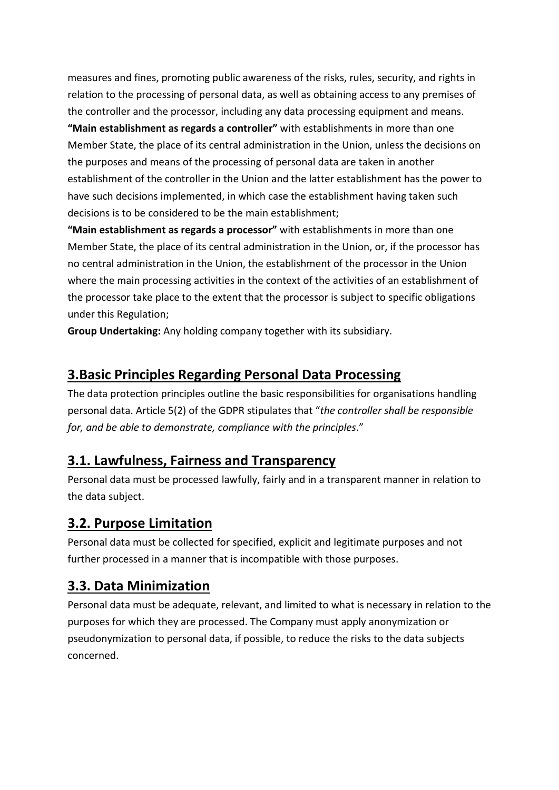measures and fines, promoting public awareness of the risks, rules, security, and rights in relation to the processing of personal data, as well as obtaining access to any premises of the controller and the processor, including any data processing equipment and means.

**"Main establishment as regards a controller"** with establishments in more than one Member State, the place of its central administration in the Union, unless the decisions on the purposes and means of the processing of personal data are taken in another establishment of the controller in the Union and the latter establishment has the power to have such decisions implemented, in which case the establishment having taken such decisions is to be considered to be the main establishment;

**"Main establishment as regards a processor"** with establishments in more than one Member State, the place of its central administration in the Union, or, if the processor has no central administration in the Union, the establishment of the processor in the Union where the main processing activities in the context of the activities of an establishment of the processor take place to the extent that the processor is subject to specific obligations under this Regulation;

**Group Undertaking:** Any holding company together with its subsidiary.

# **3.Basic Principles Regarding Personal Data Processing**

The data protection principles outline the basic responsibilities for organisations handling personal data. Article 5(2) of the GDPR stipulates that "*the controller shall be responsible for, and be able to demonstrate, compliance with the principles*."

## **3.1. Lawfulness, Fairness and Transparency**

Personal data must be processed lawfully, fairly and in a transparent manner in relation to the data subject.

## **3.2. Purpose Limitation**

Personal data must be collected for specified, explicit and legitimate purposes and not further processed in a manner that is incompatible with those purposes.

## **3.3. Data Minimization**

Personal data must be adequate, relevant, and limited to what is necessary in relation to the purposes for which they are processed. The Company must apply anonymization or pseudonymization to personal data, if possible, to reduce the risks to the data subjects concerned.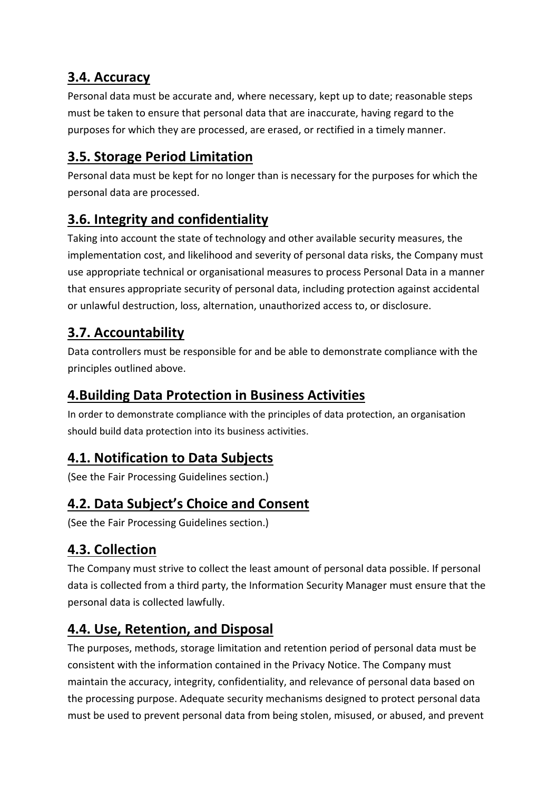## **3.4. Accuracy**

Personal data must be accurate and, where necessary, kept up to date; reasonable steps must be taken to ensure that personal data that are inaccurate, having regard to the purposes for which they are processed, are erased, or rectified in a timely manner.

# **3.5. Storage Period Limitation**

Personal data must be kept for no longer than is necessary for the purposes for which the personal data are processed.

# **3.6. Integrity and confidentiality**

Taking into account the state of technology and other available security measures, the implementation cost, and likelihood and severity of personal data risks, the Company must use appropriate technical or organisational measures to process Personal Data in a manner that ensures appropriate security of personal data, including protection against accidental or unlawful destruction, loss, alternation, unauthorized access to, or disclosure.

# **3.7. Accountability**

Data controllers must be responsible for and be able to demonstrate compliance with the principles outlined above.

## **4.Building Data Protection in Business Activities**

In order to demonstrate compliance with the principles of data protection, an organisation should build data protection into its business activities.

## **4.1. Notification to Data Subjects**

(See the Fair Processing Guidelines section.)

# **4.2. Data Subject's Choice and Consent**

(See the Fair Processing Guidelines section.)

# **4.3. Collection**

The Company must strive to collect the least amount of personal data possible. If personal data is collected from a third party, the Information Security Manager must ensure that the personal data is collected lawfully.

# **4.4. Use, Retention, and Disposal**

The purposes, methods, storage limitation and retention period of personal data must be consistent with the information contained in the Privacy Notice. The Company must maintain the accuracy, integrity, confidentiality, and relevance of personal data based on the processing purpose. Adequate security mechanisms designed to protect personal data must be used to prevent personal data from being stolen, misused, or abused, and prevent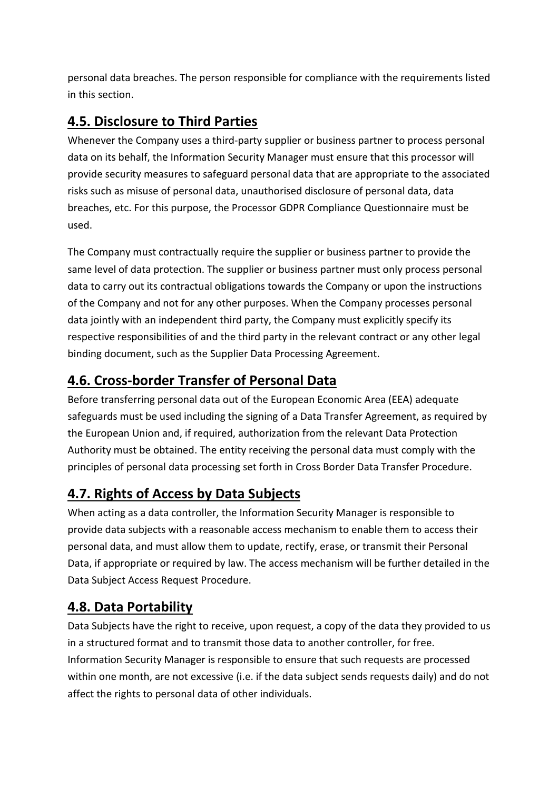personal data breaches. The person responsible for compliance with the requirements listed in this section.

# **4.5. Disclosure to Third Parties**

Whenever the Company uses a third-party supplier or business partner to process personal data on its behalf, the Information Security Manager must ensure that this processor will provide security measures to safeguard personal data that are appropriate to the associated risks such as misuse of personal data, unauthorised disclosure of personal data, data breaches, etc. For this purpose, the Processor GDPR Compliance Questionnaire must be used.

The Company must contractually require the supplier or business partner to provide the same level of data protection. The supplier or business partner must only process personal data to carry out its contractual obligations towards the Company or upon the instructions of the Company and not for any other purposes. When the Company processes personal data jointly with an independent third party, the Company must explicitly specify its respective responsibilities of and the third party in the relevant contract or any other legal binding document, such as the Supplier Data Processing Agreement.

# **4.6. Cross-border Transfer of Personal Data**

Before transferring personal data out of the European Economic Area (EEA) adequate safeguards must be used including the signing of a Data Transfer Agreement, as required by the European Union and, if required, authorization from the relevant Data Protection Authority must be obtained. The entity receiving the personal data must comply with the principles of personal data processing set forth in Cross Border Data Transfer Procedure.

# **4.7. Rights of Access by Data Subjects**

When acting as a data controller, the Information Security Manager is responsible to provide data subjects with a reasonable access mechanism to enable them to access their personal data, and must allow them to update, rectify, erase, or transmit their Personal Data, if appropriate or required by law. The access mechanism will be further detailed in the Data Subject Access Request Procedure.

# **4.8. Data Portability**

Data Subjects have the right to receive, upon request, a copy of the data they provided to us in a structured format and to transmit those data to another controller, for free. Information Security Manager is responsible to ensure that such requests are processed within one month, are not excessive (i.e. if the data subject sends requests daily) and do not affect the rights to personal data of other individuals.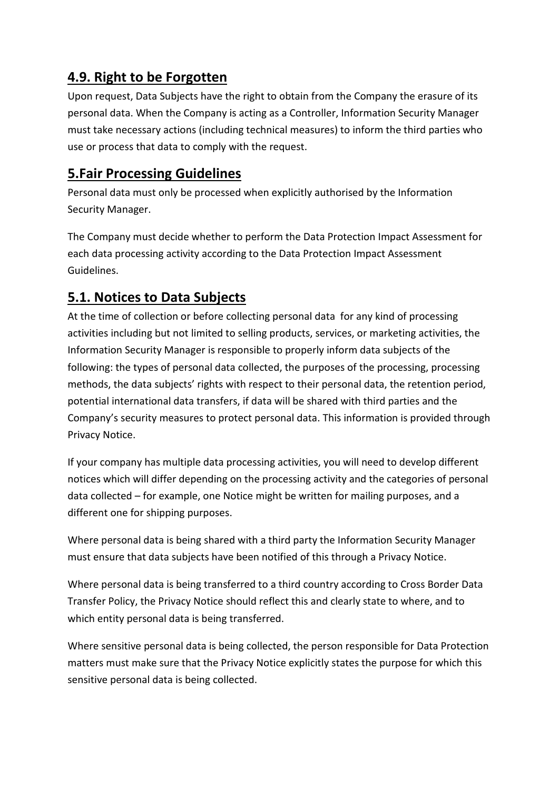## **4.9. Right to be Forgotten**

Upon request, Data Subjects have the right to obtain from the Company the erasure of its personal data. When the Company is acting as a Controller, Information Security Manager must take necessary actions (including technical measures) to inform the third parties who use or process that data to comply with the request.

## **5.Fair Processing Guidelines**

Personal data must only be processed when explicitly authorised by the Information Security Manager.

The Company must decide whether to perform the Data Protection Impact Assessment for each data processing activity according to the Data Protection Impact Assessment Guidelines.

# **5.1. Notices to Data Subjects**

At the time of collection or before collecting personal data for any kind of processing activities including but not limited to selling products, services, or marketing activities, the Information Security Manager is responsible to properly inform data subjects of the following: the types of personal data collected, the purposes of the processing, processing methods, the data subjects' rights with respect to their personal data, the retention period, potential international data transfers, if data will be shared with third parties and the Company's security measures to protect personal data. This information is provided through Privacy Notice.

If your company has multiple data processing activities, you will need to develop different notices which will differ depending on the processing activity and the categories of personal data collected – for example, one Notice might be written for mailing purposes, and a different one for shipping purposes.

Where personal data is being shared with a third party the Information Security Manager must ensure that data subjects have been notified of this through a Privacy Notice.

Where personal data is being transferred to a third country according to Cross Border Data Transfer Policy, the Privacy Notice should reflect this and clearly state to where, and to which entity personal data is being transferred.

Where sensitive personal data is being collected, the person responsible for Data Protection matters must make sure that the Privacy Notice explicitly states the purpose for which this sensitive personal data is being collected.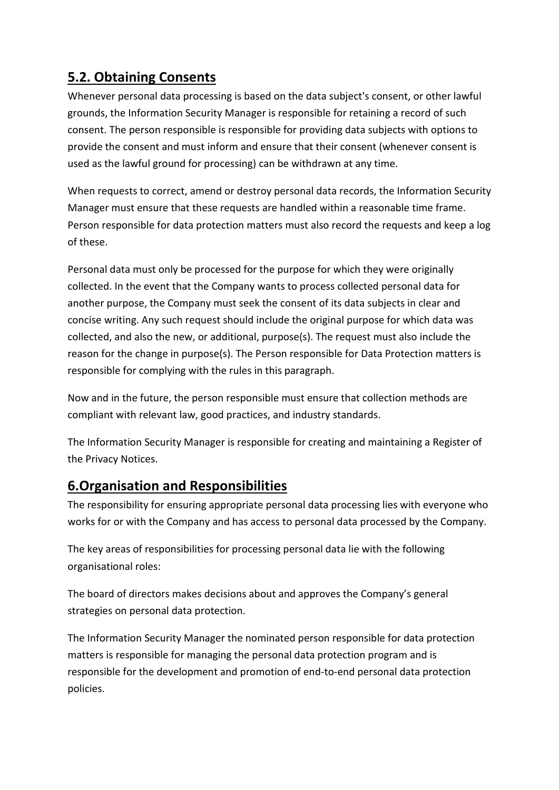## **5.2. Obtaining Consents**

Whenever personal data processing is based on the data subject's consent, or other lawful grounds, the Information Security Manager is responsible for retaining a record of such consent. The person responsible is responsible for providing data subjects with options to provide the consent and must inform and ensure that their consent (whenever consent is used as the lawful ground for processing) can be withdrawn at any time.

When requests to correct, amend or destroy personal data records, the Information Security Manager must ensure that these requests are handled within a reasonable time frame. Person responsible for data protection matters must also record the requests and keep a log of these.

Personal data must only be processed for the purpose for which they were originally collected. In the event that the Company wants to process collected personal data for another purpose, the Company must seek the consent of its data subjects in clear and concise writing. Any such request should include the original purpose for which data was collected, and also the new, or additional, purpose(s). The request must also include the reason for the change in purpose(s). The Person responsible for Data Protection matters is responsible for complying with the rules in this paragraph.

Now and in the future, the person responsible must ensure that collection methods are compliant with relevant law, good practices, and industry standards.

The Information Security Manager is responsible for creating and maintaining a Register of the Privacy Notices.

## **6.Organisation and Responsibilities**

The responsibility for ensuring appropriate personal data processing lies with everyone who works for or with the Company and has access to personal data processed by the Company.

The key areas of responsibilities for processing personal data lie with the following organisational roles:

The board of directors makes decisions about and approves the Company's general strategies on personal data protection.

The Information Security Manager the nominated person responsible for data protection matters is responsible for managing the personal data protection program and is responsible for the development and promotion of end-to-end personal data protection policies.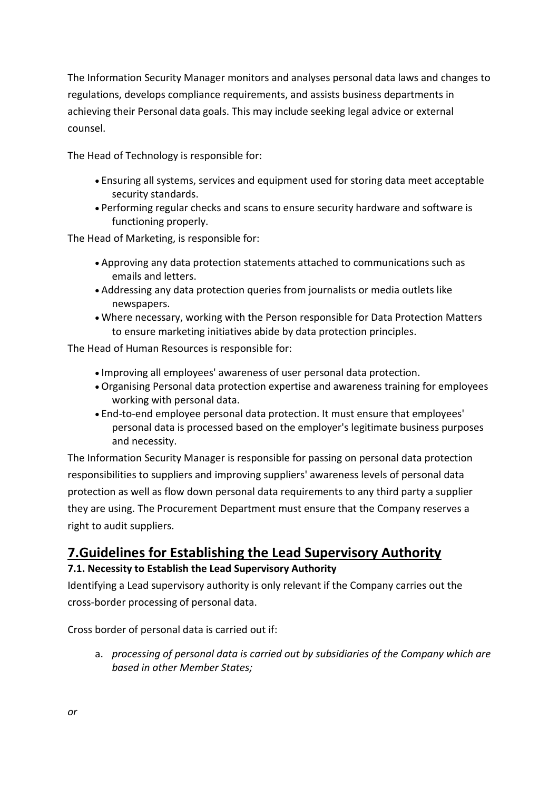The Information Security Manager monitors and analyses personal data laws and changes to regulations, develops compliance requirements, and assists business departments in achieving their Personal data goals. This may include seeking legal advice or external counsel.

The Head of Technology is responsible for:

- Ensuring all systems, services and equipment used for storing data meet acceptable security standards.
- Performing regular checks and scans to ensure security hardware and software is functioning properly.

The Head of Marketing, is responsible for:

- Approving any data protection statements attached to communications such as emails and letters.
- Addressing any data protection queries from journalists or media outlets like newspapers.
- Where necessary, working with the Person responsible for Data Protection Matters to ensure marketing initiatives abide by data protection principles.

The Head of Human Resources is responsible for:

- Improving all employees' awareness of user personal data protection.
- Organising Personal data protection expertise and awareness training for employees working with personal data.
- End-to-end employee personal data protection. It must ensure that employees' personal data is processed based on the employer's legitimate business purposes and necessity.

The Information Security Manager is responsible for passing on personal data protection responsibilities to suppliers and improving suppliers' awareness levels of personal data protection as well as flow down personal data requirements to any third party a supplier they are using. The Procurement Department must ensure that the Company reserves a right to audit suppliers.

# **7.Guidelines for Establishing the Lead Supervisory Authority**

#### **7.1. Necessity to Establish the Lead Supervisory Authority**

Identifying a Lead supervisory authority is only relevant if the Company carries out the cross-border processing of personal data.

Cross border of personal data is carried out if:

a. *processing of personal data is carried out by subsidiaries of the Company which are based in other Member States;*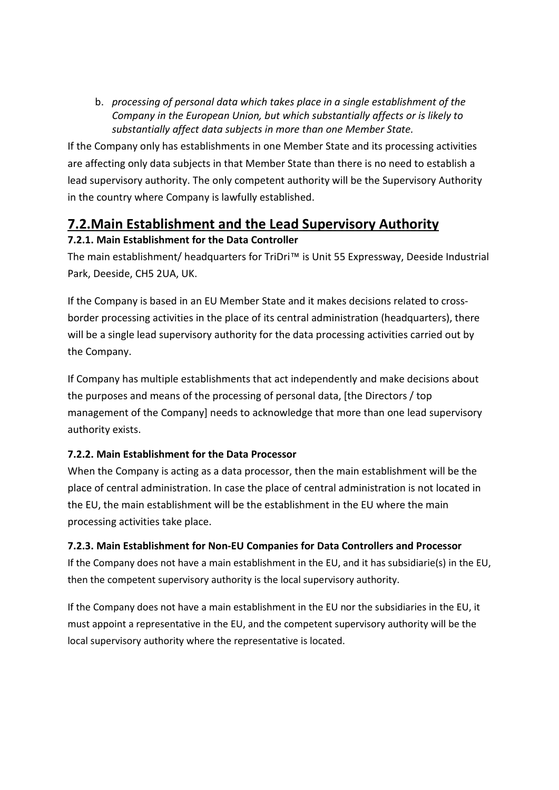b. *processing of personal data which takes place in a single establishment of the Company in the European Union, but which substantially affects or is likely to substantially affect data subjects in more than one Member State.*

If the Company only has establishments in one Member State and its processing activities are affecting only data subjects in that Member State than there is no need to establish a lead supervisory authority. The only competent authority will be the Supervisory Authority in the country where Company is lawfully established.

# **7.2.Main Establishment and the Lead Supervisory Authority**

#### **7.2.1. Main Establishment for the Data Controller**

The main establishment/ headquarters for TriDri™ is Unit 55 Expressway, Deeside Industrial Park, Deeside, CH5 2UA, UK.

If the Company is based in an EU Member State and it makes decisions related to crossborder processing activities in the place of its central administration (headquarters), there will be a single lead supervisory authority for the data processing activities carried out by the Company.

If Company has multiple establishments that act independently and make decisions about the purposes and means of the processing of personal data, [the Directors / top management of the Company] needs to acknowledge that more than one lead supervisory authority exists.

#### **7.2.2. Main Establishment for the Data Processor**

When the Company is acting as a data processor, then the main establishment will be the place of central administration. In case the place of central administration is not located in the EU, the main establishment will be the establishment in the EU where the main processing activities take place.

#### **7.2.3. Main Establishment for Non-EU Companies for Data Controllers and Processor**

If the Company does not have a main establishment in the EU, and it has subsidiarie(s) in the EU, then the competent supervisory authority is the local supervisory authority.

If the Company does not have a main establishment in the EU nor the subsidiaries in the EU, it must appoint a representative in the EU, and the competent supervisory authority will be the local supervisory authority where the representative is located.